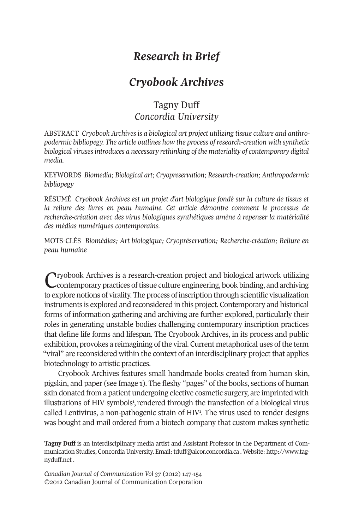# *Research in Brief*

## *Cryobook Archives*

## Tagny Duff *Concordia University*

ABSTRACT *Cryobook Archives is a biological art project utilizing tissue culture and anthropodermic bibliopegy. The article outlines how the process of research-creation with synthetic biological virusesintroduces a necessary rethinking of the materiality of contemporary digital media.*

KEYWORDS *Biomedia; Biological art; Cryopreservation; Research-creation; Anthropodermic bibliopegy*

RÉSUMÉ *Cryobook Archives est un projet d'art biologique fondé sur la culture de tissus et la reliure des livres en peau humaine. Cet article démontre comment le processus de recherche-création avec des virus biologiques synthétiques amène à repenser la matérialité des médias numériques contemporains.*

MOTS-CLÉS *Biomédias; Art biologique; Cryopréservation; Recherche-création; Reliure en peau humaine*

Cryobook Archives is <sup>a</sup> research-creation project and biological artwork utilizing contemporary practices oftissue culture engineering, book binding, and archiving to explore notions of virality. The process of inscription through scientific visualization instruments is explored and reconsidered in this project. Contemporary and historical forms of information gathering and archiving are further explored, particularly their roles in generating unstable bodies challenging contemporary inscription practices that define life forms and lifespan. The Cryobook Archives, in its process and public exhibition, provokes a reimagining of the viral. Current metaphorical uses of the term "viral" are reconsidered within the context of an interdisciplinary project that applies biotechnology to artistic practices.

Cryobook Archives features small handmade books created from human skin, pigskin, and paper (see Image 1). The fleshy "pages" of the books, sections of human skin donated from a patient undergoing elective cosmetic surgery, are imprinted with illustrations of HIV symbols<sup>1</sup>, rendered through the transfection of a biological virus called Lentivirus, a non-pathogenic strain of HIV<sup>1</sup>. The virus used to render designs was bought and mail ordered from a biotech company that custom makes synthetic

**Tagny Duff** is an interdisciplinary media artist and Assistant Professor in the Department of Communication Studies, Concordia University. Email: [tduff@alcor.concordia.ca](mailto:tduff@alcor.concordia.ca) . Website: [http://www.tag](http://www.tagnyduff.net)[nyduff.net](http://www.tagnyduff.net) .

*Canadian Journal of Communication Vol 37* (2012) 147-154 ©2012 Canadian Journal of Communication Corporation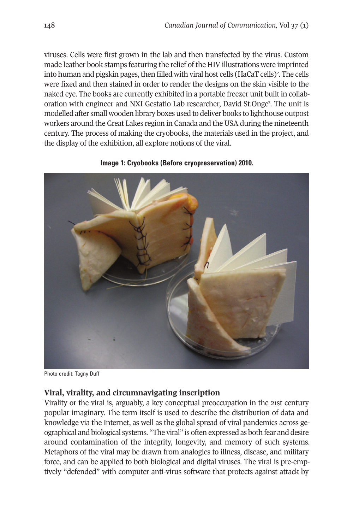viruses. Cells were first grown in the lab and then transfected by the virus. Custom made leather book stamps featuring the relief of the HIV illustrations were imprinted into human and pigskin pages, then filled with viral host cells (HaCaT cells)<sup>2</sup>. The cells were fixed and then stained in order to render the designs on the skin visible to the naked eye. The books are currently exhibited in a portable freezer unit built in collaboration with engineer and NXI Gestatio Lab researcher, David St.Onge3 . The unit is modelled after small wooden library boxes used to deliver books to lighthouse outpost workers around the Great Lakes region in Canada and the USA during the nineteenth century. The process of making the cryobooks, the materials used in the project, and the display of the exhibition, all explore notions of the viral.



### **Image 1: Cryobooks (Before cryopreservation) 2010.**

Photo credit: Tagny Duff

## **Viral, virality, and circumnavigating inscription**

Virality or the viral is, arguably, a key conceptual preoccupation in the 21st century popular imaginary. The term itself is used to describe the distribution of data and knowledge via the Internet, as well as the global spread of viral pandemics across geographical and biological systems. "The viral" is often expressed as both fear and desire around contamination of the integrity, longevity, and memory of such systems. Metaphors of the viral may be drawn from analogies to illness, disease, and military force, and can be applied to both biological and digital viruses. The viral is pre-emptively "defended" with computer anti-virus software that protects against attack by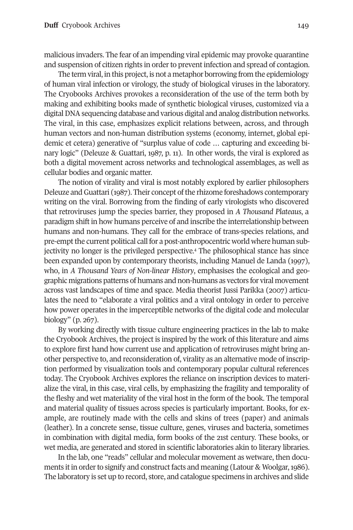malicious invaders. The fear of an impending viral epidemic may provoke quarantine and suspension of citizen rights in orderto prevent infection and spread of contagion.

The term viral, in this project, is not a metaphor borrowing from the epidemiology of human viral infection or virology, the study of biological viruses in the laboratory. The Cryobooks Archives provokes a reconsideration of the use of the term both by making and exhibiting books made of synthetic biological viruses, customized via a digital DNA sequencing database and various digital and analog distribution networks. The viral, in this case, emphasizes explicit relations between, across, and through human vectors and non-human distribution systems (economy, internet, global epidemic et cetera) generative of "surplus value of code … capturing and exceeding binary logic" (Deleuze & Guattari, 1987, p. 11). In other words, the viral is explored as both a digital movement across networks and technological assemblages, as well as cellular bodies and organic matter.

The notion of virality and viral is most notably explored by earlier philosophers Deleuze and Guattari (1987). Their concept of the rhizome foreshadows contemporary writing on the viral. Borrowing from the finding of early virologists who discovered that retroviruses jump the species barrier, they proposed in *A Thousand Plateaus*, a paradigm shift in how humans perceive of and inscribe the interrelationship between humans and non-humans. They call for the embrace of trans-species relations, and pre-emptthe current political call for a post-anthropocentric world where human subjectivity no longer is the privileged perspective. <sup>4</sup> The philosophical stance has since been expanded upon by contemporary theorists, including Manuel de Landa (1997), who, in *A Thousand Years of Non-linear History*, emphasises the ecological and geographic migrations patterns of humans and non-humans as vectors for viral movement across vast landscapes of time and space. Media theorist Jussi Parikka (2007) articulates the need to "elaborate a viral politics and a viral ontology in order to perceive how power operates in the imperceptible networks of the digital code and molecular biology" (p. 267).

By working directly with tissue culture engineering practices in the lab to make the Cryobook Archives, the project is inspired by the work of this literature and aims to explore first hand how current use and application of retroviruses might bring another perspective to, and reconsideration of, virality as an alternative mode of inscription performed by visualization tools and contemporary popular cultural references today. The Cryobook Archives explores the reliance on inscription devices to materialize the viral, in this case, viral cells, by emphasizing the fragility and temporality of the fleshy and wet materiality of the viral host in the form of the book. The temporal and material quality of tissues across species is particularly important. Books, for example, are routinely made with the cells and skins of trees (paper) and animals (leather). In a concrete sense, tissue culture, genes, viruses and bacteria, sometimes in combination with digital media, form books of the 21st century. These books, or wet media, are generated and stored in scientific laboratories akin to literary libraries.

In the lab, one "reads" cellular and molecular movement as wetware, then documents it in order to signify and construct facts and meaning (Latour & Woolgar, 1986). The laboratory is set up to record, store, and catalogue specimens in archives and slide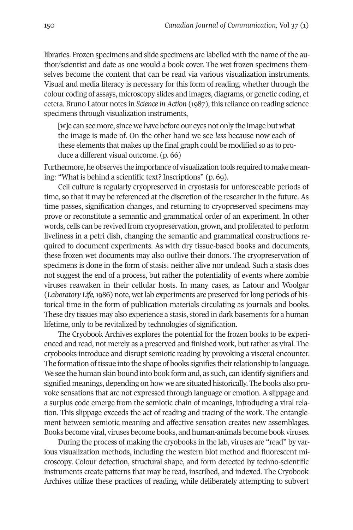libraries. Frozen specimens and slide specimens are labelled with the name of the author/scientist and date as one would a book cover. The wet frozen specimens themselves become the content that can be read via various visualization instruments. Visual and media literacy is necessary for this form of reading, whether through the colour coding of assays, microscopy slides and images, diagrams, or genetic coding, et cetera. Bruno Latour notes in *Science in Action* (1987), this reliance on reading science specimens through visualization instruments,

[w]e can see more, since we have before our eyes not only the image but what the image is made of. On the other hand we see *less* because now each of these elements that makes up the final graph could be modified so as to produce a different visual outcome. (p. 66)

Furthermore, he observes the importance of visualization tools required to make meaning: "What is behind a scientific text? Inscriptions" (p. 69).

Cell culture is regularly cryopreserved in cryostasis for unforeseeable periods of time, so that it may be referenced at the discretion of the researcher in the future. As time passes, signification changes, and returning to cryopreserved specimens may prove or reconstitute a semantic and grammatical order of an experiment. In other words, cells can be revived from cryopreservation, grown, and proliferated to perform liveliness in a petri dish, changing the semantic and grammatical constructions required to document experiments. As with dry tissue-based books and documents, these frozen wet documents may also outlive their donors. The cryopreservation of specimens is done in the form of stasis: neither alive nor undead. Such a stasis does not suggest the end of a process, but rather the potentiality of events where zombie viruses reawaken in their cellular hosts. In many cases, as Latour and Woolgar (*Laboratory Life,*1986) note, wet lab experiments are preserved forlong periods of historical time in the form of publication materials circulating as journals and books. These dry tissues may also experience a stasis, stored in dark basements for a human lifetime, only to be revitalized by technologies of signification.

The Cryobook Archives explores the potential for the frozen books to be experienced and read, not merely as a preserved and finished work, but rather as viral. The cryobooks introduce and disrupt semiotic reading by provoking a visceral encounter. The formation of tissue into the shape of books signifies their relationship to language. We see the human skin bound into book form and, as such, can identify signifiers and signified meanings, depending on how we are situated historically. The books also provoke sensations that are not expressed through language or emotion. A slippage and a surplus code emerge from the semiotic chain of meanings, introducing a viral relation. This slippage exceeds the act of reading and tracing of the work. The entanglement between semiotic meaning and affective sensation creates new assemblages. Books become viral, viruses become books, and human-animals become book viruses.

During the process of making the cryobooks in the lab, viruses are "read" by various visualization methods, including the western blot method and fluorescent microscopy. Colour detection, structural shape, and form detected by techno-scientific instruments create patterns that may be read, inscribed, and indexed. The Cryobook Archives utilize these practices of reading, while deliberately attempting to subvert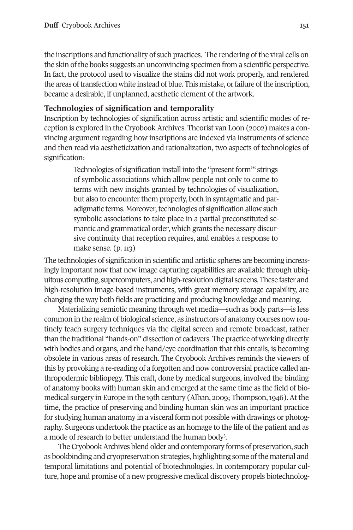the inscriptions and functionality of such practices. The rendering of the viral cells on the skin of the books suggests an unconvincing specimen from a scientific perspective. In fact, the protocol used to visualize the stains did not work properly, and rendered the areas of transfection white instead of blue. This mistake, or failure of the inscription, became a desirable, if unplanned, aesthetic element of the artwork.

## **Technologies of signification and temporality**

Inscription by technologies of signification across artistic and scientific modes of reception is explored in the Cryobook Archives. Theorist van Loon (2002) makes a convincing argument regarding how inscriptions are indexed via instruments of science and then read via aestheticization and rationalization, two aspects of technologies of signification:

> Technologies of signification install into the "present form" strings of symbolic associations which allow people not only to come to terms with new insights granted by technologies of visualization, but also to encounter them properly, both in syntagmatic and paradigmatic terms. Moreover, technologies of signification allow such symbolic associations to take place in a partial preconstituted semantic and grammatical order, which grants the necessary discursive continuity that reception requires, and enables a response to make sense. (p. 113)

The technologies of signification in scientific and artistic spheres are becoming increasingly important now that new image capturing capabilities are available through ubiquitous computing, supercomputers, andhigh-resolutiondigital screens.These faster and high-resolution image-based instruments, with great memory storage capability, are changing the way both fields are practicing and producing knowledge and meaning.

Materializing semiotic meaning through wet media—such as body parts—is less common in the realm of biological science, as instructors of anatomy courses now routinely teach surgery techniques via the digital screen and remote broadcast, rather than the traditional "hands-on" dissection of cadavers. The practice of working directly with bodies and organs, and the hand/eye coordination that this entails, is becoming obsolete in various areas of research. The Cryobook Archives reminds the viewers of this by provoking a re-reading of a forgotten and now controversial practice called anthropodermic bibliopegy. This craft, done by medical surgeons, involved the binding of anatomy books with human skin and emerged at the same time as the field of biomedical surgery in Europe in the 19th century (Alban, 2009; Thompson, 1946). At the time, the practice of preserving and binding human skin was an important practice for studying human anatomy in a visceral form not possible with drawings or photography. Surgeons undertook the practice as an homage to the life of the patient and as a mode of research to better understand the human body<sup>5</sup>.

The Cryobook Archives blend older and contemporary forms of preservation, such as bookbinding and cryopreservation strategies, highlighting some ofthe material and temporal limitations and potential of biotechnologies. In contemporary popular culture, hope and promise of a new progressive medical discovery propels biotechnolog-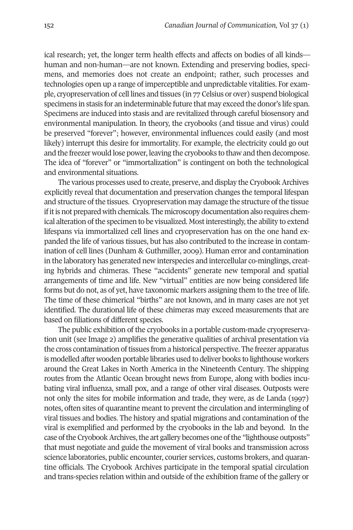ical research; yet, the longer term health effects and affects on bodies of all kinds human and non-human—are not known. Extending and preserving bodies, specimens, and memories does not create an endpoint; rather, such processes and technologies open up a range of imperceptible and unpredictable vitalities. For example, cryopreservation of cell lines and tissues (in 77 Celsius or over) suspend biological specimens in stasis for an indeterminable future that may exceed the donor's life span. Specimens are induced into stasis and are revitalized through careful biosensory and environmental manipulation. In theory, the cryobooks (and tissue and virus) could be preserved "forever"; however, environmental influences could easily (and most likely) interrupt this desire for immortality. For example, the electricity could go out and the freezer would lose power, leaving the cryobooks to thaw and then decompose. The idea of "forever" or "immortalization" is contingent on both the technological and environmental situations.

The various processes used to create, preserve, and display the CryobookArchives explicitly reveal that documentation and preservation changes the temporal lifespan and structure of the tissues. Cryopreservation may damage the structure of the tissue ifitis not prepared with chemicals. The microscopy documentation also requires chemical alteration of the specimen to be visualized. Most interestingly, the ability to extend lifespans via immortalized cell lines and cryopreservation has on the one hand expanded the life of various tissues, but has also contributed to the increase in contamination of cell lines (Dunham & Guthmiller, 2009). Human error and contamination in the laboratory has generated new interspecies and intercellular co-minglings, creating hybrids and chimeras. These "accidents" generate new temporal and spatial arrangements of time and life. New "virtual" entities are now being considered life forms but do not, as of yet, have taxonomic markers assigning them to the tree of life. The time of these chimerical "births" are not known, and in many cases are not yet identified. The durational life of these chimeras may exceed measurements that are based on filiations of different species.

The public exhibition of the cryobooks in a portable custom-made cryopreservation unit (see Image 2) amplifies the generative qualities of archival presentation via the cross contamination of tissues from a historical perspective. The freezer apparatus is modelled after wooden portable libraries used to deliver books to lighthouse workers around the Great Lakes in North America in the Nineteenth Century. The shipping routes from the Atlantic Ocean brought news from Europe, along with bodies incubating viral influenza, small pox, and a range of other viral diseases. Outposts were not only the sites for mobile information and trade, they were, as de Landa (1997) notes, often sites of quarantine meant to prevent the circulation and intermingling of viral tissues and bodies. The history and spatial migrations and contamination of the viral is exemplified and performed by the cryobooks in the lab and beyond. In the case of the Cryobook Archives, the art gallery becomes one of the "lighthouse outposts" that must negotiate and guide the movement of viral books and transmission across science laboratories, public encounter, courier services, customs brokers, and quarantine officials. The Cryobook Archives participate in the temporal spatial circulation and trans-species relation within and outside of the exhibition frame of the gallery or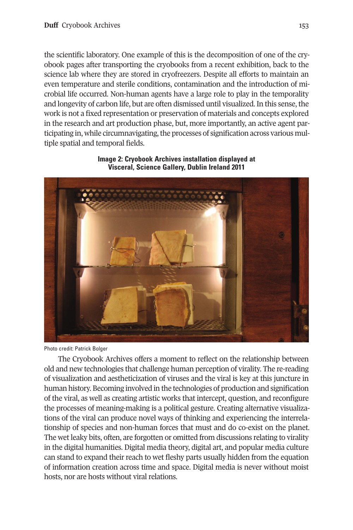the scientific laboratory. One example of this is the decomposition of one of the cryobook pages after transporting the cryobooks from a recent exhibition, back to the science lab where they are stored in cryofreezers. Despite all efforts to maintain an even temperature and sterile conditions, contamination and the introduction of microbial life occurred. Non-human agents have a large role to play in the temporality and longevity of carbon life, but are often dismissed until visualized. In this sense, the work is not a fixed representation or preservation of materials and concepts explored in the research and art production phase, but, more importantly, an active agent participating in, while circumnavigating, the processes of signification across various multiple spatial and temporal fields.



## **Image 2: Cryobook Archives installation displayed at Visceral, Science Gallery, Dublin Ireland 2011**

Photo credit: Patrick Bolger

The Cryobook Archives offers a moment to reflect on the relationship between old and new technologies that challenge human perception of virality. The re-reading of visualization and aestheticization of viruses and the viral is key at this juncture in human history. Becoming involved in the technologies of production and signification of the viral, as well as creating artistic works that intercept, question, and reconfigure the processes of meaning-making is a political gesture. Creating alternative visualizations of the viral can produce novel ways of thinking and experiencing the interrelationship of species and non-human forces that must and do co-exist on the planet. The wet leaky bits, often, are forgotten or omitted from discussions relating to virality in the digital humanities. Digital media theory, digital art, and popular media culture can stand to expand their reach to wet fleshy parts usually hidden from the equation of information creation across time and space. Digital media is never without moist hosts, nor are hosts without viral relations.